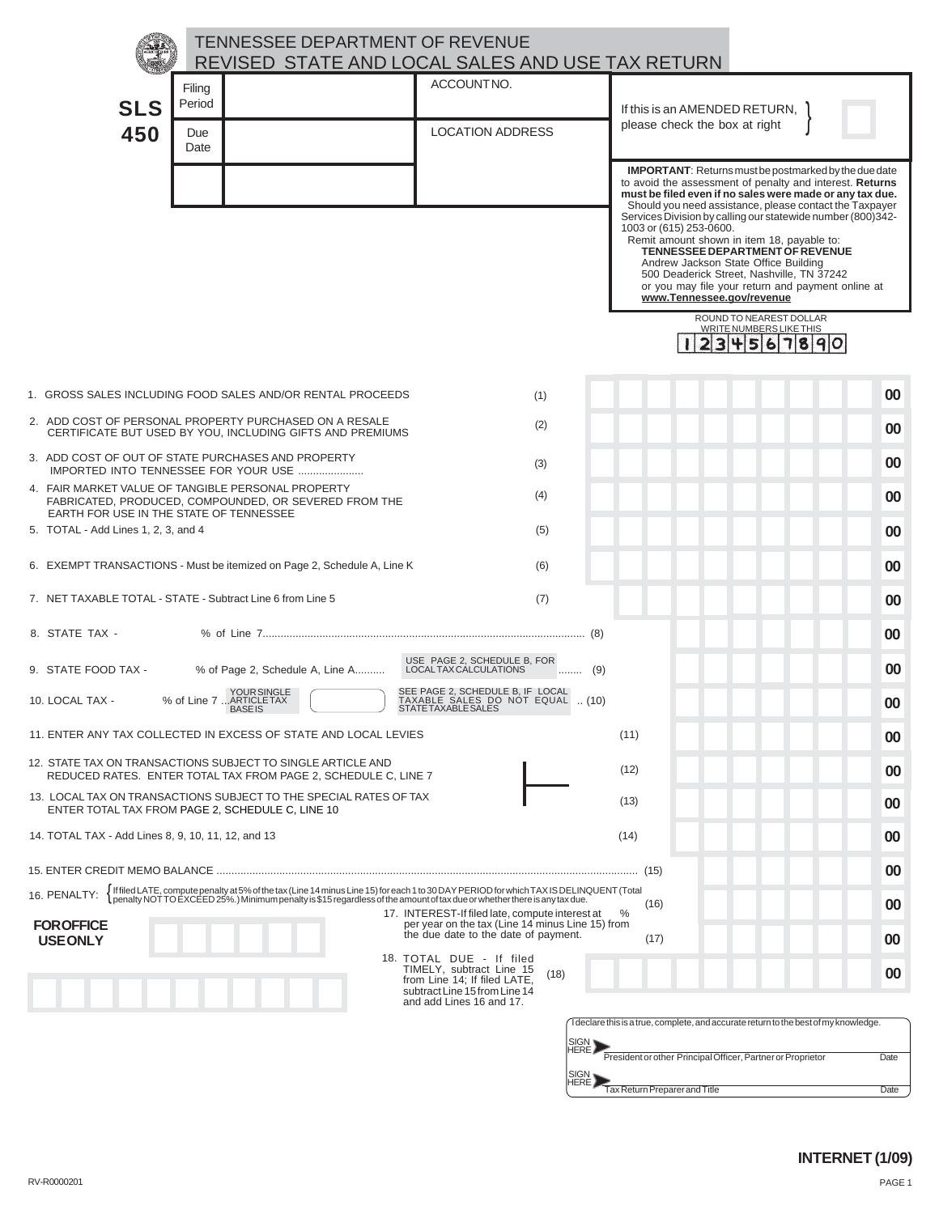|                                                                                                        |                                 | <b>TENNESSEE DEPARTMENT OF REVENUE</b><br>REVISED STATE AND LOCAL SALES AND USE TAX RETURN                                                                                                                                         |                                                                                                                                             |              |                                                                |                                                                                                                                                                                                                                                                                                                                                                                                                                                                                                                                                                                                                       |      |
|--------------------------------------------------------------------------------------------------------|---------------------------------|------------------------------------------------------------------------------------------------------------------------------------------------------------------------------------------------------------------------------------|---------------------------------------------------------------------------------------------------------------------------------------------|--------------|----------------------------------------------------------------|-----------------------------------------------------------------------------------------------------------------------------------------------------------------------------------------------------------------------------------------------------------------------------------------------------------------------------------------------------------------------------------------------------------------------------------------------------------------------------------------------------------------------------------------------------------------------------------------------------------------------|------|
| <b>SLS</b><br>450                                                                                      | Filing<br>Period<br>Due<br>Date |                                                                                                                                                                                                                                    | ACCOUNTNO.<br><b>LOCATION ADDRESS</b>                                                                                                       |              | If this is an AMENDED RETURN,<br>please check the box at right |                                                                                                                                                                                                                                                                                                                                                                                                                                                                                                                                                                                                                       |      |
|                                                                                                        |                                 |                                                                                                                                                                                                                                    |                                                                                                                                             |              | 1003 or (615) 253-0600.<br>www.Tennessee.gov/revenue           | <b>IMPORTANT:</b> Returns must be postmarked by the due date<br>to avoid the assessment of penalty and interest. Returns<br>must be filed even if no sales were made or any tax due.<br>Should you need assistance, please contact the Taxpayer<br>Services Division by calling our statewide number (800)342-<br>Remit amount shown in item 18, payable to:<br>TENNESSEE DEPARTMENT OF REVENUE<br>Andrew Jackson State Office Building<br>500 Deaderick Street, Nashville, TN 37242<br>or you may file your return and payment online at<br>ROUND TO NEAREST DOLLAR<br><b>WRITE NUMBERS LIKE THIS</b><br>3456<br>890 |      |
|                                                                                                        |                                 | 1. GROSS SALES INCLUDING FOOD SALES AND/OR RENTAL PROCEEDS                                                                                                                                                                         | (1)                                                                                                                                         |              |                                                                |                                                                                                                                                                                                                                                                                                                                                                                                                                                                                                                                                                                                                       | 00   |
|                                                                                                        |                                 | 2. ADD COST OF PERSONAL PROPERTY PURCHASED ON A RESALE                                                                                                                                                                             | (2)                                                                                                                                         |              |                                                                |                                                                                                                                                                                                                                                                                                                                                                                                                                                                                                                                                                                                                       | 00   |
| 3. ADD COST OF OUT OF STATE PURCHASES AND PROPERTY                                                     |                                 | CERTIFICATE BUT USED BY YOU, INCLUDING GIFTS AND PREMIUMS                                                                                                                                                                          | (3)                                                                                                                                         |              |                                                                |                                                                                                                                                                                                                                                                                                                                                                                                                                                                                                                                                                                                                       | 00   |
| 4. FAIR MARKET VALUE OF TANGIBLE PERSONAL PROPERTY                                                     |                                 | IMPORTED INTO TENNESSEE FOR YOUR USE                                                                                                                                                                                               | (4)                                                                                                                                         |              |                                                                |                                                                                                                                                                                                                                                                                                                                                                                                                                                                                                                                                                                                                       | 00   |
| EARTH FOR USE IN THE STATE OF TENNESSEE<br>5. TOTAL - Add Lines 1, 2, 3, and 4                         |                                 | FABRICATED, PRODUCED, COMPOUNDED, OR SEVERED FROM THE                                                                                                                                                                              | (5)                                                                                                                                         |              |                                                                |                                                                                                                                                                                                                                                                                                                                                                                                                                                                                                                                                                                                                       | 00   |
|                                                                                                        |                                 | 6. EXEMPT TRANSACTIONS - Must be itemized on Page 2, Schedule A, Line K                                                                                                                                                            | (6)                                                                                                                                         |              |                                                                |                                                                                                                                                                                                                                                                                                                                                                                                                                                                                                                                                                                                                       | 00   |
| 7. NET TAXABLE TOTAL - STATE - Subtract Line 6 from Line 5                                             |                                 |                                                                                                                                                                                                                                    | (7)                                                                                                                                         |              |                                                                |                                                                                                                                                                                                                                                                                                                                                                                                                                                                                                                                                                                                                       | 00   |
| 8. STATE TAX -                                                                                         |                                 |                                                                                                                                                                                                                                    |                                                                                                                                             |              |                                                                |                                                                                                                                                                                                                                                                                                                                                                                                                                                                                                                                                                                                                       |      |
|                                                                                                        |                                 |                                                                                                                                                                                                                                    | USE PAGE 2, SCHEDULE B, FOR<br>LOCALTAX CALCULATIONS                                                                                        |              |                                                                |                                                                                                                                                                                                                                                                                                                                                                                                                                                                                                                                                                                                                       | 00   |
| 9. STATE FOOD TAX -<br>10. LOCAL TAX -                                                                 |                                 | % of Page 2, Schedule A, Line A<br>YOUR SINGLE<br>% of Line 7 ARTICLE TAX                                                                                                                                                          | SEE PAGE 2, SCHEDULE B, IF LOCAL<br>TAXABLE SALES DO NOT EQUAL  (10)<br>STATETAXABLESALES                                                   | $\ldots$ (9) |                                                                |                                                                                                                                                                                                                                                                                                                                                                                                                                                                                                                                                                                                                       | 00   |
|                                                                                                        |                                 | <b>BASEIS</b><br>11. ENTER ANY TAX COLLECTED IN EXCESS OF STATE AND LOCAL LEVIES                                                                                                                                                   |                                                                                                                                             | (11)         |                                                                |                                                                                                                                                                                                                                                                                                                                                                                                                                                                                                                                                                                                                       | 00   |
|                                                                                                        |                                 | 12. STATE TAX ON TRANSACTIONS SUBJECT TO SINGLE ARTICLE AND                                                                                                                                                                        |                                                                                                                                             |              |                                                                |                                                                                                                                                                                                                                                                                                                                                                                                                                                                                                                                                                                                                       | 00   |
|                                                                                                        |                                 | REDUCED RATES. ENTER TOTAL TAX FROM PAGE 2, SCHEDULE C, LINE 7<br>13. LOCAL TAX ON TRANSACTIONS SUBJECT TO THE SPECIAL RATES OF TAX                                                                                                |                                                                                                                                             | (12)<br>(13) |                                                                |                                                                                                                                                                                                                                                                                                                                                                                                                                                                                                                                                                                                                       | 00   |
| ENTER TOTAL TAX FROM PAGE 2, SCHEDULE C, LINE 10<br>14. TOTAL TAX - Add Lines 8, 9, 10, 11, 12, and 13 |                                 |                                                                                                                                                                                                                                    |                                                                                                                                             | (14)         |                                                                |                                                                                                                                                                                                                                                                                                                                                                                                                                                                                                                                                                                                                       | 00   |
|                                                                                                        |                                 |                                                                                                                                                                                                                                    |                                                                                                                                             |              |                                                                |                                                                                                                                                                                                                                                                                                                                                                                                                                                                                                                                                                                                                       | 00   |
| 16. PENALTY:                                                                                           |                                 | [Iffiled LATE, compute penalty at 5% of the tax (Line 14 minus Line 15) for each 1 to 30 DAY PERIOD for which TAX IS DELINQUENT (Total<br>[penalty NOT TO EXCEED 25%.) Minimum penalty is \$15 regardless of the amount of tax due |                                                                                                                                             |              | (15)                                                           |                                                                                                                                                                                                                                                                                                                                                                                                                                                                                                                                                                                                                       | 00   |
| <b>FOR OFFICE</b>                                                                                      |                                 |                                                                                                                                                                                                                                    | 17. INTEREST-If filed late, compute interest at<br>per year on the tax (Line 14 minus Line 15) from<br>the due date to the date of payment. | %            | (16)                                                           |                                                                                                                                                                                                                                                                                                                                                                                                                                                                                                                                                                                                                       | 00   |
| <b>USEONLY</b>                                                                                         |                                 |                                                                                                                                                                                                                                    | 18. TOTAL DUE - If filed<br>TIMELY, subtract Line 15                                                                                        |              | (17)                                                           |                                                                                                                                                                                                                                                                                                                                                                                                                                                                                                                                                                                                                       | 00   |
|                                                                                                        |                                 |                                                                                                                                                                                                                                    | (18)<br>from Line 14; If filed LATE,<br>subtract Line 15 from Line 14<br>and add Lines 16 and 17.                                           |              |                                                                |                                                                                                                                                                                                                                                                                                                                                                                                                                                                                                                                                                                                                       | 00   |
|                                                                                                        |                                 |                                                                                                                                                                                                                                    |                                                                                                                                             |              |                                                                | I declare this is a true, complete, and accurate return to the best of my knowledge.                                                                                                                                                                                                                                                                                                                                                                                                                                                                                                                                  |      |
|                                                                                                        |                                 |                                                                                                                                                                                                                                    |                                                                                                                                             |              | President or other Principal Officer, Partner or Proprietor    |                                                                                                                                                                                                                                                                                                                                                                                                                                                                                                                                                                                                                       | Date |

Tax Return Preparer and Title **Date** Date Date